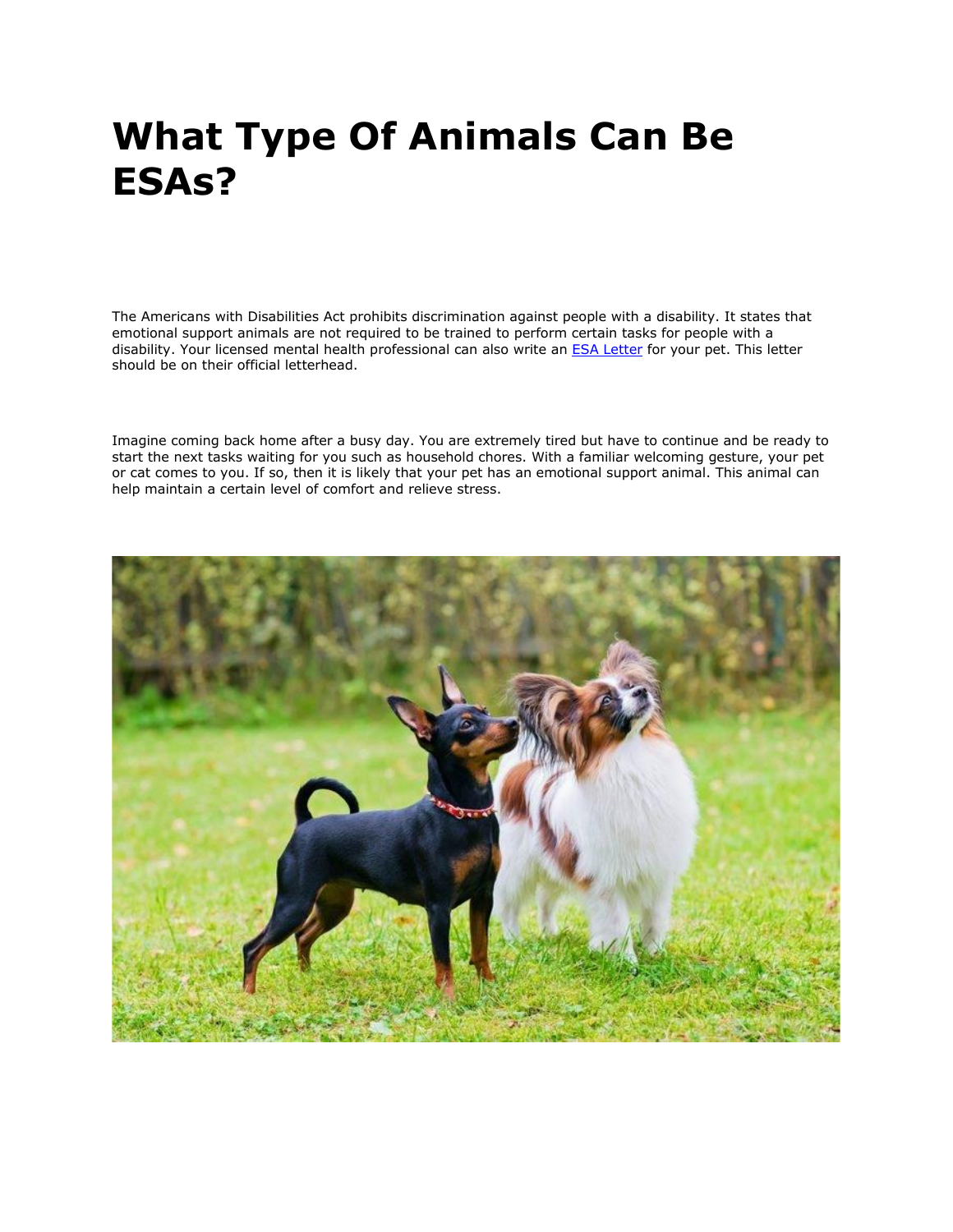# **What Type Of Animals Can Be ESAs?**

The Americans with Disabilities Act prohibits discrimination against people with a disability. It states that emotional support animals are not required to be trained to perform certain tasks for people with a disability. Your licensed mental health professional can also write an **[ESA Letter](https://myesaletter.net/)** for your pet. This letter should be on their official letterhead.

Imagine coming back home after a busy day. You are extremely tired but have to continue and be ready to start the next tasks waiting for you such as household chores. With a familiar welcoming gesture, your pet or cat comes to you. If so, then it is likely that your pet has an emotional support animal. This animal can help maintain a certain level of comfort and relieve stress.

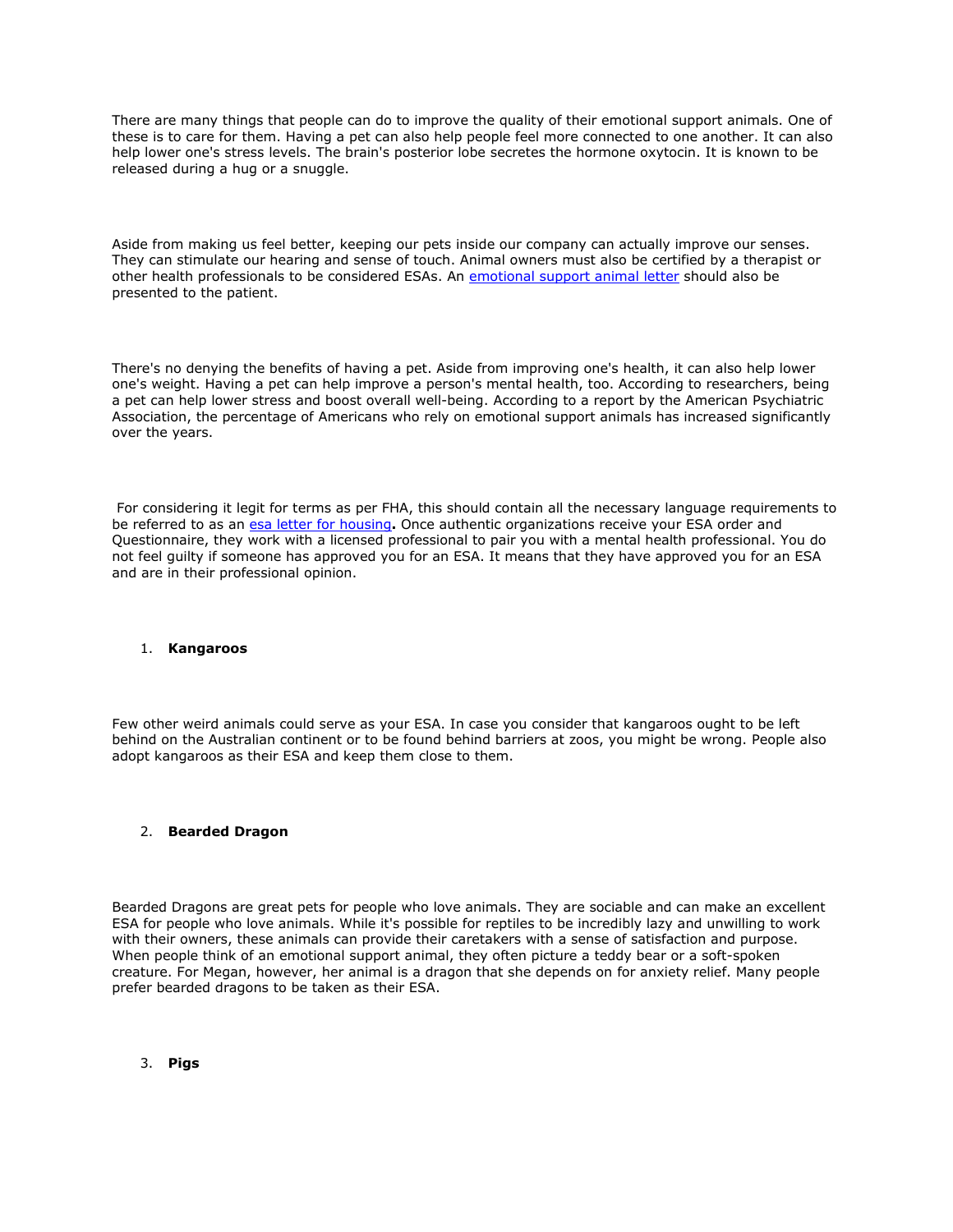There are many things that people can do to improve the quality of their emotional support animals. One of these is to care for them. Having a pet can also help people feel more connected to one another. It can also help lower one's stress levels. The brain's posterior lobe secretes the hormone oxytocin. It is known to be released during a hug or a snuggle.

Aside from making us feel better, keeping our pets inside our company can actually improve our senses. They can stimulate our hearing and sense of touch. Animal owners must also be certified by a therapist or other health professionals to be considered ESAs. An [emotional support animal letter](https://myesaletter.net/) should also be presented to the patient.

There's no denying the benefits of having a pet. Aside from improving one's health, it can also help lower one's weight. Having a pet can help improve a person's mental health, too. According to researchers, being a pet can help lower stress and boost overall well-being. According to a report by the American Psychiatric Association, the percentage of Americans who rely on emotional support animals has increased significantly over the years.

For considering it legit for terms as per FHA, this should contain all the necessary language requirements to be referred to as an [esa letter for housing](https://myesaletter.net/)**.** Once authentic organizations receive your ESA order and Questionnaire, they work with a licensed professional to pair you with a mental health professional. You do not feel guilty if someone has approved you for an ESA. It means that they have approved you for an ESA and are in their professional opinion.

### 1. **Kangaroos**

Few other weird animals could serve as your ESA. In case you consider that kangaroos ought to be left behind on the Australian continent or to be found behind barriers at zoos, you might be wrong. People also adopt kangaroos as their ESA and keep them close to them.

## 2. **Bearded Dragon**

Bearded Dragons are great pets for people who love animals. They are sociable and can make an excellent ESA for people who love animals. While it's possible for reptiles to be incredibly lazy and unwilling to work with their owners, these animals can provide their caretakers with a sense of satisfaction and purpose. When people think of an emotional support animal, they often picture a teddy bear or a soft-spoken creature. For Megan, however, her animal is a dragon that she depends on for anxiety relief. Many people prefer bearded dragons to be taken as their ESA.

3. **Pigs**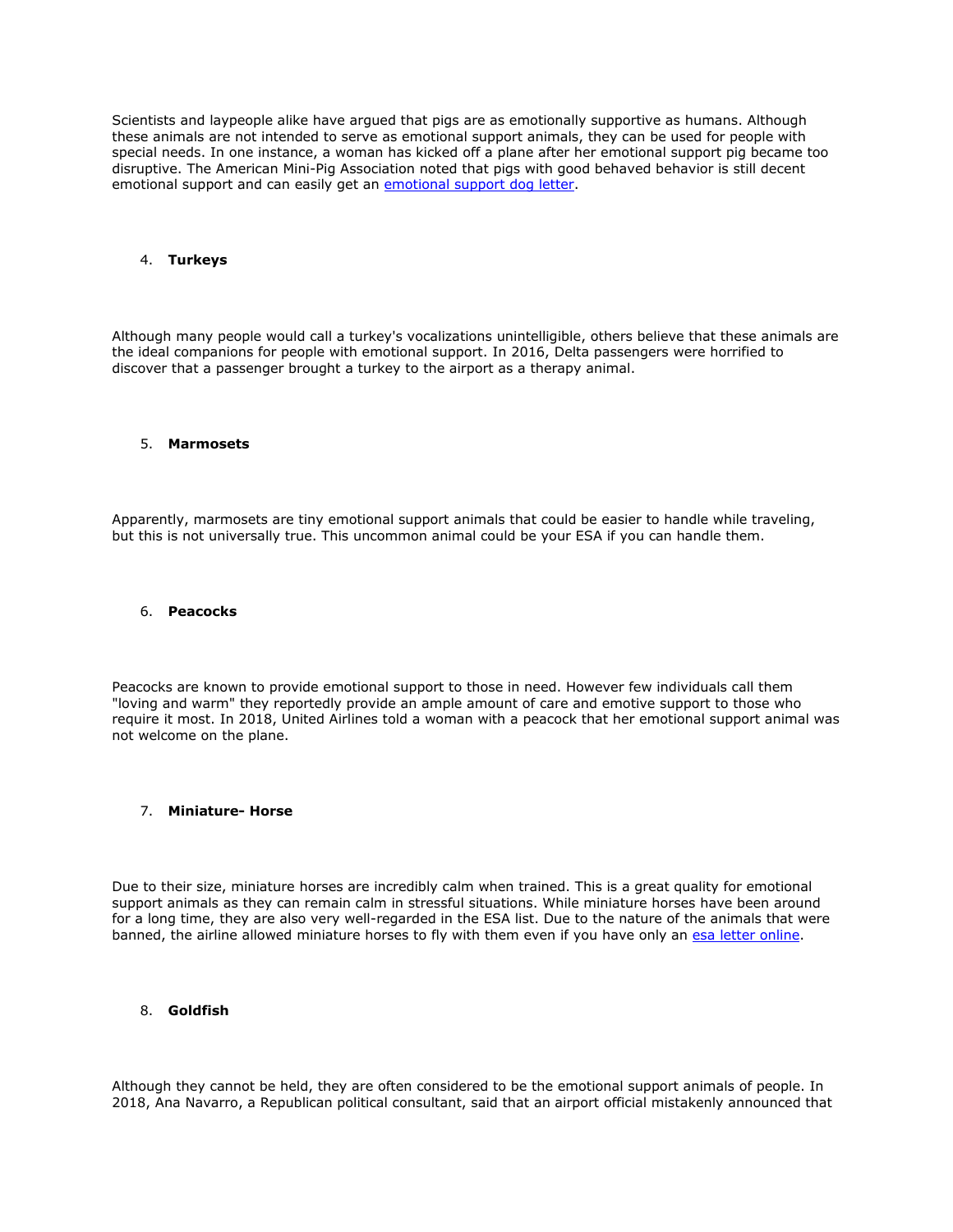Scientists and laypeople alike have argued that pigs are as emotionally supportive as humans. Although these animals are not intended to serve as emotional support animals, they can be used for people with special needs. In one instance, a woman has kicked off a plane after her emotional support pig became too disruptive. The American Mini-Pig Association noted that pigs with good behaved behavior is still decent emotional support and can easily get an [emotional support dog letter.](https://myesaletter.net/)

#### 4. **Turkeys**

Although many people would call a turkey's vocalizations unintelligible, others believe that these animals are the ideal companions for people with emotional support. In 2016, Delta passengers were horrified to discover that a passenger brought a turkey to the airport as a therapy animal.

#### 5. **Marmosets**

Apparently, marmosets are tiny emotional support animals that could be easier to handle while traveling, but this is not universally true. This uncommon animal could be your ESA if you can handle them.

#### 6. **Peacocks**

Peacocks are known to provide emotional support to those in need. However few individuals call them "loving and warm" they reportedly provide an ample amount of care and emotive support to those who require it most. In 2018, United Airlines told a woman with a peacock that her emotional support animal was not welcome on the plane.

#### 7. **Miniature- Horse**

Due to their size, miniature horses are incredibly calm when trained. This is a great quality for emotional support animals as they can remain calm in stressful situations. While miniature horses have been around for a long time, they are also very well-regarded in the ESA list. Due to the nature of the animals that were banned, the airline allowed miniature horses to fly with them even if you have only an [esa letter online.](https://myesaletter.net/)

## 8. **Goldfish**

Although they cannot be held, they are often considered to be the emotional support animals of people. In 2018, Ana Navarro, a Republican political consultant, said that an airport official mistakenly announced that